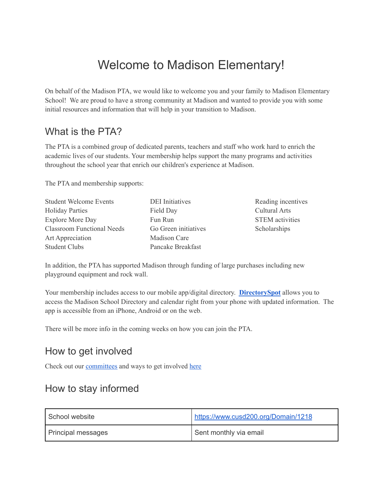# Welcome to Madison Elementary!

On behalf of the Madison PTA, we would like to welcome you and your family to Madison Elementary School! We are proud to have a strong community at Madison and wanted to provide you with some initial resources and information that will help in your transition to Madison.

#### What is the PTA?

The PTA is a combined group of dedicated parents, teachers and staff who work hard to enrich the academic lives of our students. Your membership helps support the many programs and activities throughout the school year that enrich our children's experience at Madison.

The PTA and membership supports:

| <b>Student Welcome Events</b>     | <b>DEI</b> Initiatives | Reading incentives     |
|-----------------------------------|------------------------|------------------------|
| <b>Holiday Parties</b>            | Field Day              | <b>Cultural Arts</b>   |
| <b>Explore More Day</b>           | Fun Run                | <b>STEM</b> activities |
| <b>Classroom Functional Needs</b> | Go Green initiatives   | Scholarships           |
| Art Appreciation                  | Madison Care           |                        |
| <b>Student Clubs</b>              | Pancake Breakfast      |                        |

In addition, the PTA has supported Madison through funding of large purchases including new playground equipment and rock wall.

Your membership includes access to our mobile app/digital directory. **[DirectorySpot](https://www.directoryspot.net/)** allows you to access the Madison School Directory and calendar right from your phone with updated information. The app is accessible from an iPhone, Android or on the web.

There will be more info in the coming weeks on how you can join the PTA.

### How to get involved

Check out our [committees](https://www.cusd200.org/Page/9776) and ways to get involved [here](https://www.signupgenius.com/go/5080844aead2fa7fe3-committee4)

### How to stay informed

| School website            | https://www.cusd200.org/Domain/1218 |
|---------------------------|-------------------------------------|
| <b>Principal messages</b> | Sent monthly via email              |